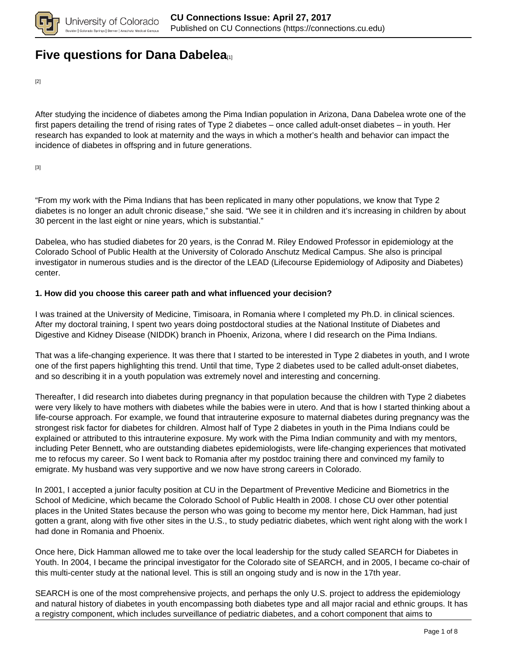

## **[Five questions for Dana Dabelea](https://connections.cu.edu/spotlights/five-questions-dana-dabelea)**<sub>[1]</sub>

[2]

After studying the incidence of diabetes among the Pima Indian population in Arizona, Dana Dabelea wrote one of the first papers detailing the trend of rising rates of Type 2 diabetes – once called adult-onset diabetes – in youth. Her research has expanded to look at maternity and the ways in which a mother's health and behavior can impact the incidence of diabetes in offspring and in future generations.

[3]

"From my work with the Pima Indians that has been replicated in many other populations, we know that Type 2 diabetes is no longer an adult chronic disease," she said. "We see it in children and it's increasing in children by about 30 percent in the last eight or nine years, which is substantial."

Dabelea, who has studied diabetes for 20 years, is the Conrad M. Riley Endowed Professor in epidemiology at the Colorado School of Public Health at the University of Colorado Anschutz Medical Campus. She also is principal investigator in numerous studies and is the director of the LEAD (Lifecourse Epidemiology of Adiposity and Diabetes) center.

### **1. How did you choose this career path and what influenced your decision?**

I was trained at the University of Medicine, Timisoara, in Romania where I completed my Ph.D. in clinical sciences. After my doctoral training, I spent two years doing postdoctoral studies at the National Institute of Diabetes and Digestive and Kidney Disease (NIDDK) branch in Phoenix, Arizona, where I did research on the Pima Indians.

That was a life-changing experience. It was there that I started to be interested in Type 2 diabetes in youth, and I wrote one of the first papers highlighting this trend. Until that time, Type 2 diabetes used to be called adult-onset diabetes, and so describing it in a youth population was extremely novel and interesting and concerning.

Thereafter, I did research into diabetes during pregnancy in that population because the children with Type 2 diabetes were very likely to have mothers with diabetes while the babies were in utero. And that is how I started thinking about a life-course approach. For example, we found that intrauterine exposure to maternal diabetes during pregnancy was the strongest risk factor for diabetes for children. Almost half of Type 2 diabetes in youth in the Pima Indians could be explained or attributed to this intrauterine exposure. My work with the Pima Indian community and with my mentors, including Peter Bennett, who are outstanding diabetes epidemiologists, were life-changing experiences that motivated me to refocus my career. So I went back to Romania after my postdoc training there and convinced my family to emigrate. My husband was very supportive and we now have strong careers in Colorado.

In 2001, I accepted a junior faculty position at CU in the Department of Preventive Medicine and Biometrics in the School of Medicine, which became the Colorado School of Public Health in 2008. I chose CU over other potential places in the United States because the person who was going to become my mentor here, Dick Hamman, had just gotten a grant, along with five other sites in the U.S., to study pediatric diabetes, which went right along with the work I had done in Romania and Phoenix.

Once here, Dick Hamman allowed me to take over the local leadership for the study called SEARCH for Diabetes in Youth. In 2004, I became the principal investigator for the Colorado site of SEARCH, and in 2005, I became co-chair of this multi-center study at the national level. This is still an ongoing study and is now in the 17th year.

SEARCH is one of the most comprehensive projects, and perhaps the only U.S. project to address the epidemiology and natural history of diabetes in youth encompassing both diabetes type and all major racial and ethnic groups. It has a registry component, which includes surveillance of pediatric diabetes, and a cohort component that aims to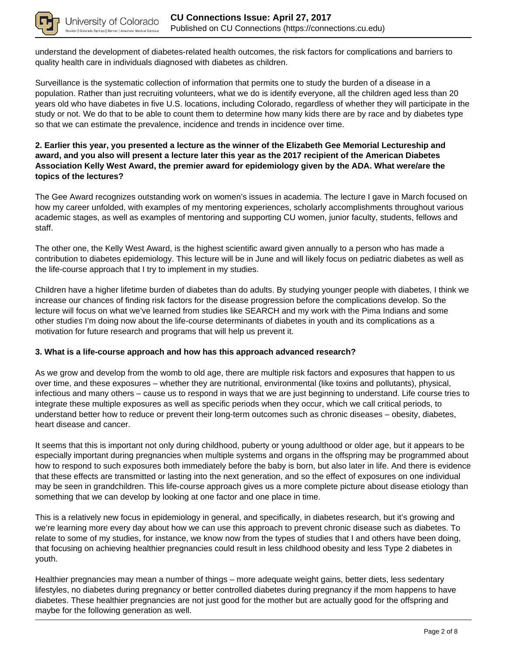

understand the development of diabetes-related health outcomes, the risk factors for complications and barriers to quality health care in individuals diagnosed with diabetes as children.

Surveillance is the systematic collection of information that permits one to study the burden of a disease in a population. Rather than just recruiting volunteers, what we do is identify everyone, all the children aged less than 20 years old who have diabetes in five U.S. locations, including Colorado, regardless of whether they will participate in the study or not. We do that to be able to count them to determine how many kids there are by race and by diabetes type so that we can estimate the prevalence, incidence and trends in incidence over time.

### **2. Earlier this year, you presented a lecture as the winner of the Elizabeth Gee Memorial Lectureship and award, and you also will present a lecture later this year as the 2017 recipient of the American Diabetes Association Kelly West Award, the premier award for epidemiology given by the ADA. What were/are the topics of the lectures?**

The Gee Award recognizes outstanding work on women's issues in academia. The lecture I gave in March focused on how my career unfolded, with examples of my mentoring experiences, scholarly accomplishments throughout various academic stages, as well as examples of mentoring and supporting CU women, junior faculty, students, fellows and staff.

The other one, the Kelly West Award, is the highest scientific award given annually to a person who has made a contribution to diabetes epidemiology. This lecture will be in June and will likely focus on pediatric diabetes as well as the life-course approach that I try to implement in my studies.

Children have a higher lifetime burden of diabetes than do adults. By studying younger people with diabetes, I think we increase our chances of finding risk factors for the disease progression before the complications develop. So the lecture will focus on what we've learned from studies like SEARCH and my work with the Pima Indians and some other studies I'm doing now about the life-course determinants of diabetes in youth and its complications as a motivation for future research and programs that will help us prevent it.

### **3. What is a life-course approach and how has this approach advanced research?**

As we grow and develop from the womb to old age, there are multiple risk factors and exposures that happen to us over time, and these exposures – whether they are nutritional, environmental (like toxins and pollutants), physical, infectious and many others – cause us to respond in ways that we are just beginning to understand. Life course tries to integrate these multiple exposures as well as specific periods when they occur, which we call critical periods, to understand better how to reduce or prevent their long-term outcomes such as chronic diseases – obesity, diabetes, heart disease and cancer.

It seems that this is important not only during childhood, puberty or young adulthood or older age, but it appears to be especially important during pregnancies when multiple systems and organs in the offspring may be programmed about how to respond to such exposures both immediately before the baby is born, but also later in life. And there is evidence that these effects are transmitted or lasting into the next generation, and so the effect of exposures on one individual may be seen in grandchildren. This life-course approach gives us a more complete picture about disease etiology than something that we can develop by looking at one factor and one place in time.

This is a relatively new focus in epidemiology in general, and specifically, in diabetes research, but it's growing and we're learning more every day about how we can use this approach to prevent chronic disease such as diabetes. To relate to some of my studies, for instance, we know now from the types of studies that I and others have been doing, that focusing on achieving healthier pregnancies could result in less childhood obesity and less Type 2 diabetes in youth.

Healthier pregnancies may mean a number of things – more adequate weight gains, better diets, less sedentary lifestyles, no diabetes during pregnancy or better controlled diabetes during pregnancy if the mom happens to have diabetes. These healthier pregnancies are not just good for the mother but are actually good for the offspring and maybe for the following generation as well.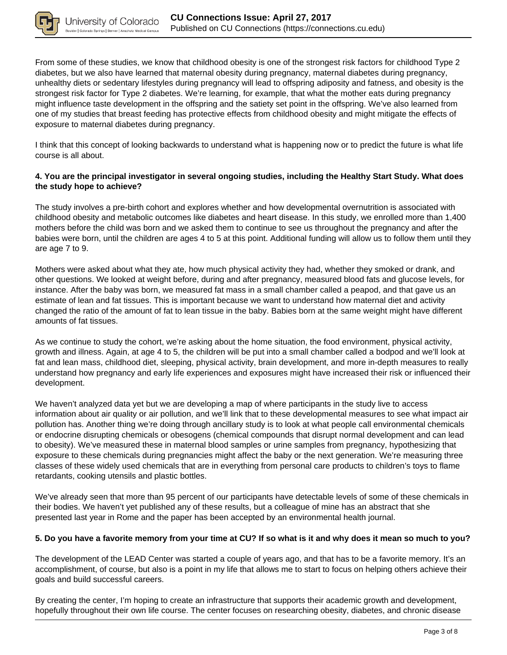

From some of these studies, we know that childhood obesity is one of the strongest risk factors for childhood Type 2 diabetes, but we also have learned that maternal obesity during pregnancy, maternal diabetes during pregnancy, unhealthy diets or sedentary lifestyles during pregnancy will lead to offspring adiposity and fatness, and obesity is the strongest risk factor for Type 2 diabetes. We're learning, for example, that what the mother eats during pregnancy might influence taste development in the offspring and the satiety set point in the offspring. We've also learned from one of my studies that breast feeding has protective effects from childhood obesity and might mitigate the effects of exposure to maternal diabetes during pregnancy.

I think that this concept of looking backwards to understand what is happening now or to predict the future is what life course is all about.

### **4. You are the principal investigator in several ongoing studies, including the Healthy Start Study. What does the study hope to achieve?**

The study involves a pre-birth cohort and explores whether and how developmental overnutrition is associated with childhood obesity and metabolic outcomes like diabetes and heart disease. In this study, we enrolled more than 1,400 mothers before the child was born and we asked them to continue to see us throughout the pregnancy and after the babies were born, until the children are ages 4 to 5 at this point. Additional funding will allow us to follow them until they are age 7 to 9.

Mothers were asked about what they ate, how much physical activity they had, whether they smoked or drank, and other questions. We looked at weight before, during and after pregnancy, measured blood fats and glucose levels, for instance. After the baby was born, we measured fat mass in a small chamber called a peapod, and that gave us an estimate of lean and fat tissues. This is important because we want to understand how maternal diet and activity changed the ratio of the amount of fat to lean tissue in the baby. Babies born at the same weight might have different amounts of fat tissues.

As we continue to study the cohort, we're asking about the home situation, the food environment, physical activity, growth and illness. Again, at age 4 to 5, the children will be put into a small chamber called a bodpod and we'll look at fat and lean mass, childhood diet, sleeping, physical activity, brain development, and more in-depth measures to really understand how pregnancy and early life experiences and exposures might have increased their risk or influenced their development.

We haven't analyzed data yet but we are developing a map of where participants in the study live to access information about air quality or air pollution, and we'll link that to these developmental measures to see what impact air pollution has. Another thing we're doing through ancillary study is to look at what people call environmental chemicals or endocrine disrupting chemicals or obesogens (chemical compounds that disrupt normal development and can lead to obesity). We've measured these in maternal blood samples or urine samples from pregnancy, hypothesizing that exposure to these chemicals during pregnancies might affect the baby or the next generation. We're measuring three classes of these widely used chemicals that are in everything from personal care products to children's toys to flame retardants, cooking utensils and plastic bottles.

We've already seen that more than 95 percent of our participants have detectable levels of some of these chemicals in their bodies. We haven't yet published any of these results, but a colleague of mine has an abstract that she presented last year in Rome and the paper has been accepted by an environmental health journal.

### **5. Do you have a favorite memory from your time at CU? If so what is it and why does it mean so much to you?**

The development of the LEAD Center was started a couple of years ago, and that has to be a favorite memory. It's an accomplishment, of course, but also is a point in my life that allows me to start to focus on helping others achieve their goals and build successful careers.

By creating the center, I'm hoping to create an infrastructure that supports their academic growth and development, hopefully throughout their own life course. The center focuses on researching obesity, diabetes, and chronic disease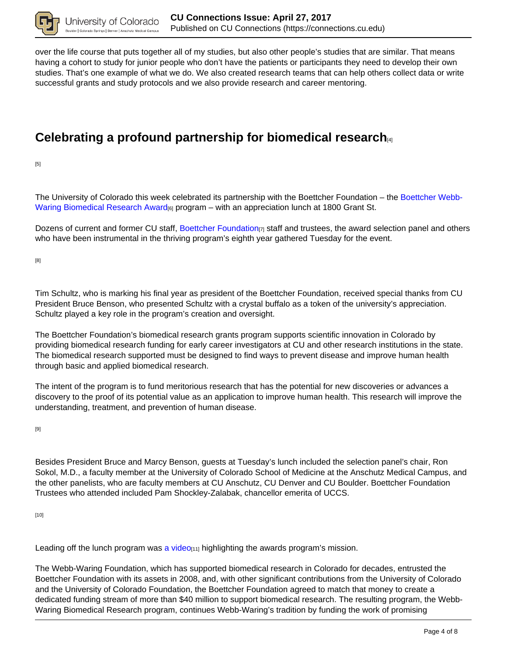

over the life course that puts together all of my studies, but also other people's studies that are similar. That means having a cohort to study for junior people who don't have the patients or participants they need to develop their own studies. That's one example of what we do. We also created research teams that can help others collect data or write successful grants and study protocols and we also provide research and career mentoring.

# **Celebrating a profound partnership for biomedical research**[4]

[5]

The University of Colorado this week celebrated its partnership with the Boettcher Foundation – the Boettcher Webb-Waring Biomedical Research Award<sub>[6]</sub> program – with an appreciation lunch at 1800 Grant St.

Dozens of current and former CU staff, Boettcher Foundation  $\eta$  staff and trustees, the award selection panel and others who have been instrumental in the thriving program's eighth year gathered Tuesday for the event.

[8]

Tim Schultz, who is marking his final year as president of the Boettcher Foundation, received special thanks from CU President Bruce Benson, who presented Schultz with a crystal buffalo as a token of the university's appreciation. Schultz played a key role in the program's creation and oversight.

The Boettcher Foundation's biomedical research grants program supports scientific innovation in Colorado by providing biomedical research funding for early career investigators at CU and other research institutions in the state. The biomedical research supported must be designed to find ways to prevent disease and improve human health through basic and applied biomedical research.

The intent of the program is to fund meritorious research that has the potential for new discoveries or advances a discovery to the proof of its potential value as an application to improve human health. This research will improve the understanding, treatment, and prevention of human disease.

[9]

Besides President Bruce and Marcy Benson, guests at Tuesday's lunch included the selection panel's chair, Ron Sokol, M.D., a faculty member at the University of Colorado School of Medicine at the Anschutz Medical Campus, and the other panelists, who are faculty members at CU Anschutz, CU Denver and CU Boulder. Boettcher Foundation Trustees who attended included Pam Shockley-Zalabak, chancellor emerita of UCCS.

[10]

Leading off the lunch program was a video $\mu_1$  highlighting the awards program's mission.

The Webb-Waring Foundation, which has supported biomedical research in Colorado for decades, entrusted the Boettcher Foundation with its assets in 2008, and, with other significant contributions from the University of Colorado and the University of Colorado Foundation, the Boettcher Foundation agreed to match that money to create a dedicated funding stream of more than \$40 million to support biomedical research. The resulting program, the Webb-Waring Biomedical Research program, continues Webb-Waring's tradition by funding the work of promising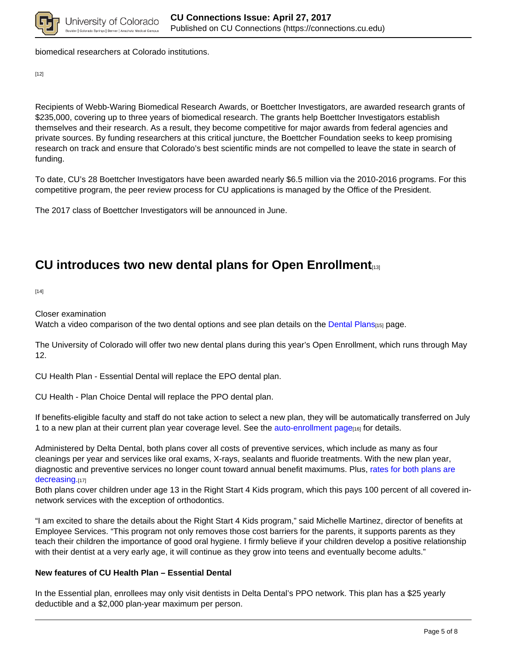

biomedical researchers at Colorado institutions.

[12]

Recipients of Webb-Waring Biomedical Research Awards, or Boettcher Investigators, are awarded research grants of \$235,000, covering up to three years of biomedical research. The grants help Boettcher Investigators establish themselves and their research. As a result, they become competitive for major awards from federal agencies and private sources. By funding researchers at this critical juncture, the Boettcher Foundation seeks to keep promising research on track and ensure that Colorado's best scientific minds are not compelled to leave the state in search of funding.

To date, CU's 28 Boettcher Investigators have been awarded nearly \$6.5 million via the 2010-2016 programs. For this competitive program, the peer review process for CU applications is managed by the Office of the President.

The 2017 class of Boettcher Investigators will be announced in June.

## **CU introduces two new dental plans for Open Enrollment**[13]

[14]

Closer examination

Watch a video comparison of the two dental options and see plan details on the Dental Plans<sub>[15]</sub> page.

The University of Colorado will offer two new dental plans during this year's Open Enrollment, which runs through May 12.

CU Health Plan - Essential Dental will replace the EPO dental plan.

CU Health - Plan Choice Dental will replace the PPO dental plan.

If benefits-eligible faculty and staff do not take action to select a new plan, they will be automatically transferred on July 1 to a new plan at their current plan year coverage level. See the auto-enrollment page<sub>[16]</sub> for details.

Administered by Delta Dental, both plans cover all costs of preventive services, which include as many as four cleanings per year and services like oral exams, X-rays, sealants and fluoride treatments. With the new plan year, diagnostic and preventive services no longer count toward annual benefit maximums. Plus, rates for both plans are decreasing.[17]

Both plans cover children under age 13 in the Right Start 4 Kids program, which this pays 100 percent of all covered innetwork services with the exception of orthodontics.

"I am excited to share the details about the Right Start 4 Kids program," said Michelle Martinez, director of benefits at Employee Services. "This program not only removes those cost barriers for the parents, it supports parents as they teach their children the importance of good oral hygiene. I firmly believe if your children develop a positive relationship with their dentist at a very early age, it will continue as they grow into teens and eventually become adults."

### **New features of CU Health Plan – Essential Dental**

In the Essential plan, enrollees may only visit dentists in Delta Dental's PPO network. This plan has a \$25 yearly deductible and a \$2,000 plan-year maximum per person.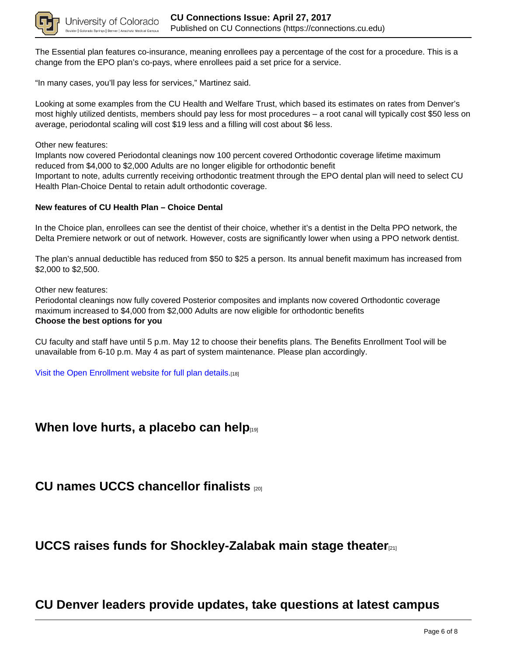

The Essential plan features co-insurance, meaning enrollees pay a percentage of the cost for a procedure. This is a change from the EPO plan's co-pays, where enrollees paid a set price for a service.

"In many cases, you'll pay less for services," Martinez said.

Looking at some examples from the CU Health and Welfare Trust, which based its estimates on rates from Denver's most highly utilized dentists, members should pay less for most procedures – a root canal will typically cost \$50 less on average, periodontal scaling will cost \$19 less and a filling will cost about \$6 less.

Other new features:

Implants now covered Periodontal cleanings now 100 percent covered Orthodontic coverage lifetime maximum reduced from \$4,000 to \$2,000 Adults are no longer eligible for orthodontic benefit Important to note, adults currently receiving orthodontic treatment through the EPO dental plan will need to select CU Health Plan-Choice Dental to retain adult orthodontic coverage.

### **New features of CU Health Plan – Choice Dental**

In the Choice plan, enrollees can see the dentist of their choice, whether it's a dentist in the Delta PPO network, the Delta Premiere network or out of network. However, costs are significantly lower when using a PPO network dentist.

The plan's annual deductible has reduced from \$50 to \$25 a person. Its annual benefit maximum has increased from \$2,000 to \$2,500.

Other new features:

Periodontal cleanings now fully covered Posterior composites and implants now covered Orthodontic coverage maximum increased to \$4,000 from \$2,000 Adults are now eligible for orthodontic benefits **Choose the best options for you**

CU faculty and staff have until 5 p.m. May 12 to choose their benefits plans. The Benefits Enrollment Tool will be unavailable from 6-10 p.m. May 4 as part of system maintenance. Please plan accordingly.

Visit the Open Enrollment website for full plan details.[18]

## **When love hurts, a placebo can help**

### **CU names UCCS chancellor finalists** [20]

**UCCS raises funds for Shockley-Zalabak main stage theater**[21]

## **CU Denver leaders provide updates, take questions at latest campus**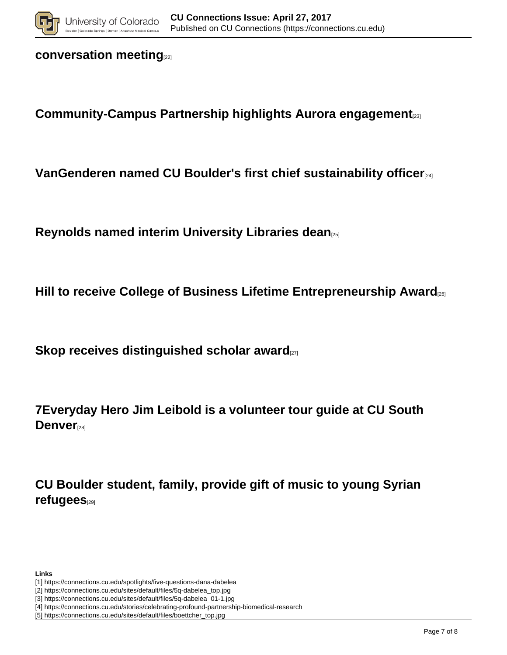

## **conversation meeting**[22]

**Community-Campus Partnership highlights Aurora engagement**[23]

**VanGenderen named CU Boulder's first chief sustainability officer**[24]

**Reynolds named interim University Libraries dean**[25]

**Hill to receive College of Business Lifetime Entrepreneurship Award**[26]

**Skop receives distinguished scholar award** 

**7Everyday Hero Jim Leibold is a volunteer tour guide at CU South Denver**[28]

**CU Boulder student, family, provide gift of music to young Syrian refugees**[29]

**Links**

- [1] https://connections.cu.edu/spotlights/five-questions-dana-dabelea
- [2] https://connections.cu.edu/sites/default/files/5q-dabelea\_top.jpg
- [3] https://connections.cu.edu/sites/default/files/5q-dabelea\_01-1.jpg
- [4] https://connections.cu.edu/stories/celebrating-profound-partnership-biomedical-research
- [5] https://connections.cu.edu/sites/default/files/boettcher\_top.jpg